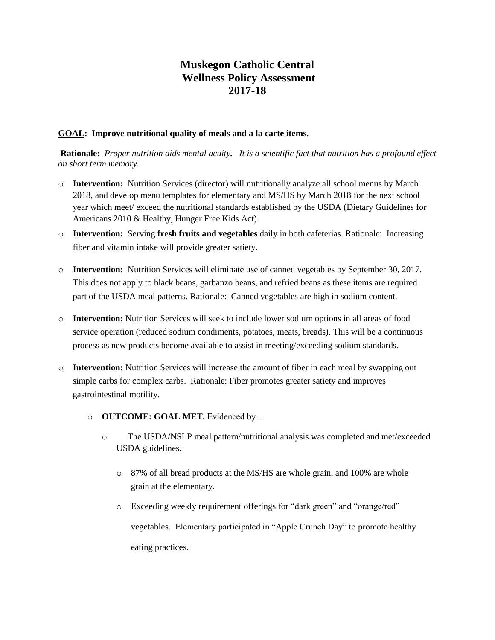# **Muskegon Catholic Central Wellness Policy Assessment 2017-18**

#### **GOAL: Improve nutritional quality of meals and a la carte items.**

**Rationale:** *Proper nutrition aids mental acuity. It is a scientific fact that nutrition has a profound effect on short term memory.* 

- o **Intervention:** Nutrition Services (director) will nutritionally analyze all school menus by March 2018, and develop menu templates for elementary and MS/HS by March 2018 for the next school year which meet/ exceed the nutritional standards established by the USDA (Dietary Guidelines for Americans 2010 & Healthy, Hunger Free Kids Act).
- o **Intervention:** Serving **fresh fruits and vegetables** daily in both cafeterias. Rationale: Increasing fiber and vitamin intake will provide greater satiety.
- o **Intervention:** Nutrition Services will eliminate use of canned vegetables by September 30, 2017. This does not apply to black beans, garbanzo beans, and refried beans as these items are required part of the USDA meal patterns. Rationale: Canned vegetables are high in sodium content.
- o **Intervention:** Nutrition Services will seek to include lower sodium options in all areas of food service operation (reduced sodium condiments, potatoes, meats, breads). This will be a continuous process as new products become available to assist in meeting/exceeding sodium standards.
- o **Intervention:** Nutrition Services will increase the amount of fiber in each meal by swapping out simple carbs for complex carbs. Rationale: Fiber promotes greater satiety and improves gastrointestinal motility.
	- o **OUTCOME: GOAL MET.** Evidenced by…
		- o The USDA/NSLP meal pattern/nutritional analysis was completed and met/exceeded USDA guidelines**.** 
			- o 87% of all bread products at the MS/HS are whole grain, and 100% are whole grain at the elementary.
			- o Exceeding weekly requirement offerings for "dark green" and "orange/red" vegetables. Elementary participated in "Apple Crunch Day" to promote healthy eating practices.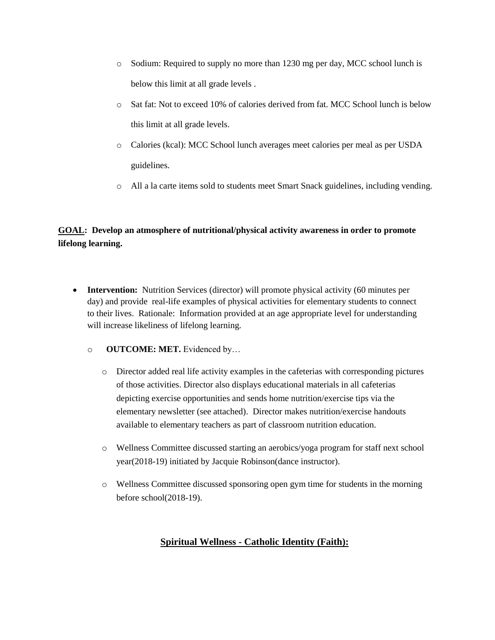- o Sodium: Required to supply no more than 1230 mg per day, MCC school lunch is below this limit at all grade levels .
- o Sat fat: Not to exceed 10% of calories derived from fat. MCC School lunch is below this limit at all grade levels.
- o Calories (kcal): MCC School lunch averages meet calories per meal as per USDA guidelines.
- o All a la carte items sold to students meet Smart Snack guidelines, including vending.

## **GOAL: Develop an atmosphere of nutritional/physical activity awareness in order to promote lifelong learning.**

- **Intervention:** Nutrition Services (director) will promote physical activity (60 minutes per day) and provide real-life examples of physical activities for elementary students to connect to their lives. Rationale: Information provided at an age appropriate level for understanding will increase likeliness of lifelong learning.
	- o **OUTCOME: MET.** Evidenced by…
		- o Director added real life activity examples in the cafeterias with corresponding pictures of those activities. Director also displays educational materials in all cafeterias depicting exercise opportunities and sends home nutrition/exercise tips via the elementary newsletter (see attached). Director makes nutrition/exercise handouts available to elementary teachers as part of classroom nutrition education.
		- o Wellness Committee discussed starting an aerobics/yoga program for staff next school year(2018-19) initiated by Jacquie Robinson(dance instructor).
		- o Wellness Committee discussed sponsoring open gym time for students in the morning before school(2018-19).

### **Spiritual Wellness - Catholic Identity (Faith):**